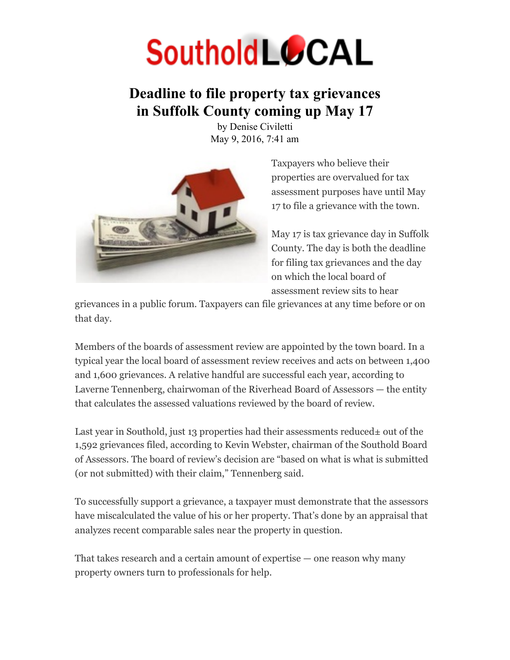## **SoutholdLOCAL**

## **Deadline to file property tax grievances in Suffolk County coming up May 17**

by Denise Civiletti May 9, 2016, 7:41 am



Taxpayers who believe their properties are overvalued for tax assessment purposes have until May 17 to file a grievance with the town.

May 17 is tax grievance day in Suffolk County. The day is both the deadline for filing tax grievances and the day on which the local board of assessment review sits to hear

grievances in a public forum. Taxpayers can file grievances at any time before or on that day.

Members of the boards of assessment review are appointed by the town board. In a typical year the local board of assessment review receives and acts on between 1,400 and 1,600 grievances. A relative handful are successful each year, according to Laverne Tennenberg, chairwoman of the Riverhead Board of Assessors — the entity that calculates the assessed valuations reviewed by the board of review.

Last year in Southold, just 13 properties had their assessments reduced $\pm$  out of the 1,592 grievances filed, according to Kevin Webster, chairman of the Southold Board of Assessors. The board of review's decision are "based on what is what is submitted (or not submitted) with their claim," Tennenberg said.

To successfully support a grievance, a taxpayer must demonstrate that the assessors have miscalculated the value of his or her property. That's done by an appraisal that analyzes recent comparable sales near the property in question.

That takes research and a certain amount of expertise — one reason why many property owners turn to professionals for help.